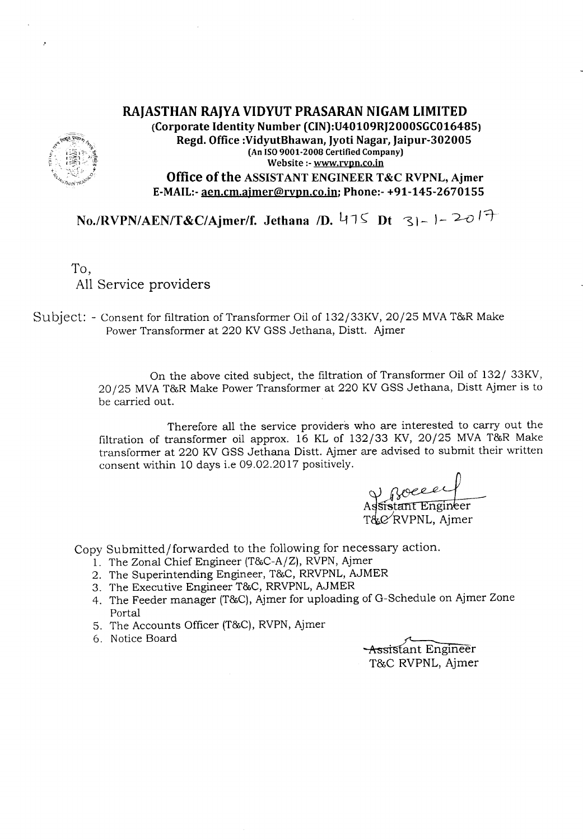ż

# **RAJASTHAN RAJYA VIDYUT PRASARAN NIGAM LIMITED (Corporate Identity Number (CIN):U40109RJ2000SGC016485) Regd. Office :VidyutBhawan, Jyoti Nagar, Jaipur-302005 (An ISO9001·2008 Certified Company) Website :- www.[Vpn.co.in Office of the ASSIST ANT ENGINEER T&C RVPNL, Ajrner E-MAIL:-aen.cm.ajmer@rvpn.co.in; Phone:- +91-145-2670155**

*No./RVPN/AEN/T&C/Ajmer/f.* Jethana *ID.* 475 *Dt* 31-1-20<sup>17</sup>

To, All Service providers

Subject: - Consent for filtration of Transformer Oil of 132/33KV, 20/25 MVAT&R Make Power Transformer at 220 KV GSS Jethana, Distt. Ajmer

> On the above cited subject, the filtration of Transformer Oil of 132/ 33KV, 20/25 MVAT&R Make Power Transformer at 220 KVGSS Jethana, Distt Ajmer is to be carried out.

> Therefore all the service providers who are interested to carry out the filtration of transformer oil approx. 16 KL of 132/33 KV, 20/25 MVA T&R Make transformer at 220 KV GSS Jethana Distt. Ajmer are advised to submit their written consent within 10 days i.e 09.02.2017 positively.

V Roeeey<br>Assistant Engineer T&C RVPNL, Aimer

Copy Submitted/forwarded to the following for necessary action.

- l. The Zonal Chief Engineer (T&C-A/Z),RVPN,Ajmer
- 2. The Superintending Engineer, T&C, RRVPNL, AJMER
- 3. The Executive Engineer T&C, RRVPNL,AJMER
- 4. The Feeder manager (T&C), Ajmer for uploading of G-Schedule on Ajmer Zone Portal
- 5. The Accounts Officer (T&C), RVPN, Ajmer
- 6. Notice Board

**Assistant Engineer** T&C RVPNL, Ajmer